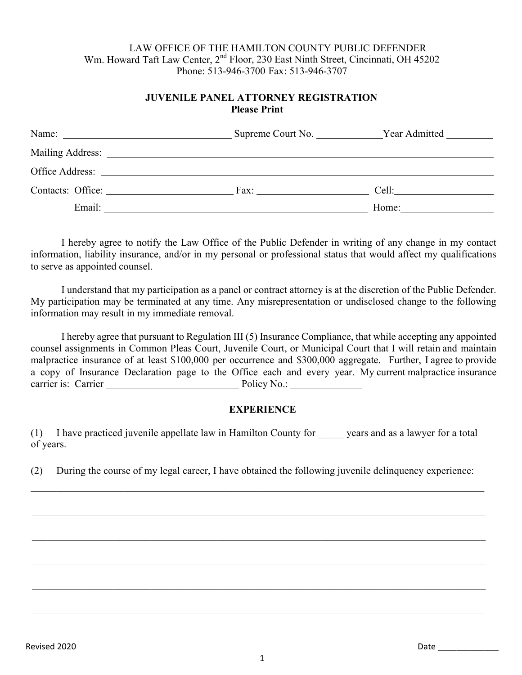#### LAW OFFICE OF THE HAMILTON COUNTY PUBLIC DEFENDER Wm. Howard Taft Law Center, 2<sup>nd</sup> Floor, 230 East Ninth Street, Cincinnati, OH 45202 Phone: 513-946-3700 Fax: 513-946-3707

### **JUVENILE PANEL ATTORNEY REGISTRATION Please Print**

| Name: $\frac{1}{\sqrt{1-\frac{1}{2}} \cdot \frac{1}{2}}$                                                                                                                                                                       | Supreme Court No. | Year Admitted |
|--------------------------------------------------------------------------------------------------------------------------------------------------------------------------------------------------------------------------------|-------------------|---------------|
|                                                                                                                                                                                                                                |                   |               |
| Office Address: the contract of the contract of the contract of the contract of the contract of the contract of the contract of the contract of the contract of the contract of the contract of the contract of the contract o |                   |               |
| Contacts: Office:                                                                                                                                                                                                              | Fax:              | Cell:         |
| Email:                                                                                                                                                                                                                         |                   | Home:         |

I hereby agree to notify the Law Office of the Public Defender in writing of any change in my contact information, liability insurance, and/or in my personal or professional status that would affect my qualifications to serve as appointed counsel.

I understand that my participation as a panel or contract attorney is at the discretion of the Public Defender. My participation may be terminated at any time. Any misrepresentation or undisclosed change to the following information may result in my immediate removal.

I hereby agree that pursuant to Regulation III (5) Insurance Compliance, that while accepting any appointed counsel assignments in Common Pleas Court, Juvenile Court, or Municipal Court that I will retain and maintain malpractice insurance of at least \$100,000 per occurrence and \$300,000 aggregate. Further, I agree to provide a copy of Insurance Declaration page to the Office each and every year. My current malpractice insurance carrier is: Carrier **Policy No.:** 

### **EXPERIENCE**

(1) I have practiced juvenile appellate law in Hamilton County for \_\_\_\_\_ years and as a lawyer for a total of years.

(2) During the course of my legal career, I have obtained the following juvenile delinquency experience:

 $\_$  ,  $\_$  ,  $\_$  ,  $\_$  ,  $\_$  ,  $\_$  ,  $\_$  ,  $\_$  ,  $\_$  ,  $\_$  ,  $\_$  ,  $\_$  ,  $\_$  ,  $\_$  ,  $\_$  ,  $\_$  ,  $\_$  ,  $\_$  ,  $\_$  ,  $\_$  ,  $\_$  ,  $\_$  ,  $\_$  ,  $\_$  ,  $\_$  ,  $\_$  ,  $\_$  ,  $\_$  ,  $\_$  ,  $\_$  ,  $\_$  ,  $\_$  ,  $\_$  ,  $\_$  ,  $\_$  ,  $\_$  ,  $\_$  ,

 $\_$  ,  $\_$  ,  $\_$  ,  $\_$  ,  $\_$  ,  $\_$  ,  $\_$  ,  $\_$  ,  $\_$  ,  $\_$  ,  $\_$  ,  $\_$  ,  $\_$  ,  $\_$  ,  $\_$  ,  $\_$  ,  $\_$  ,  $\_$  ,  $\_$  ,  $\_$  ,  $\_$  ,  $\_$  ,  $\_$  ,  $\_$  ,  $\_$  ,  $\_$  ,  $\_$  ,  $\_$  ,  $\_$  ,  $\_$  ,  $\_$  ,  $\_$  ,  $\_$  ,  $\_$  ,  $\_$  ,  $\_$  ,  $\_$  ,

 $\_$  ,  $\_$  ,  $\_$  ,  $\_$  ,  $\_$  ,  $\_$  ,  $\_$  ,  $\_$  ,  $\_$  ,  $\_$  ,  $\_$  ,  $\_$  ,  $\_$  ,  $\_$  ,  $\_$  ,  $\_$  ,  $\_$  ,  $\_$  ,  $\_$  ,  $\_$  ,  $\_$  ,  $\_$  ,  $\_$  ,  $\_$  ,  $\_$  ,  $\_$  ,  $\_$  ,  $\_$  ,  $\_$  ,  $\_$  ,  $\_$  ,  $\_$  ,  $\_$  ,  $\_$  ,  $\_$  ,  $\_$  ,  $\_$  ,

 $\_$  ,  $\_$  ,  $\_$  ,  $\_$  ,  $\_$  ,  $\_$  ,  $\_$  ,  $\_$  ,  $\_$  ,  $\_$  ,  $\_$  ,  $\_$  ,  $\_$  ,  $\_$  ,  $\_$  ,  $\_$  ,  $\_$  ,  $\_$  ,  $\_$  ,  $\_$  ,  $\_$  ,  $\_$  ,  $\_$  ,  $\_$  ,  $\_$  ,  $\_$  ,  $\_$  ,  $\_$  ,  $\_$  ,  $\_$  ,  $\_$  ,  $\_$  ,  $\_$  ,  $\_$  ,  $\_$  ,  $\_$  ,  $\_$  ,

 $\_$  ,  $\_$  ,  $\_$  ,  $\_$  ,  $\_$  ,  $\_$  ,  $\_$  ,  $\_$  ,  $\_$  ,  $\_$  ,  $\_$  ,  $\_$  ,  $\_$  ,  $\_$  ,  $\_$  ,  $\_$  ,  $\_$  ,  $\_$  ,  $\_$  ,  $\_$  ,  $\_$  ,  $\_$  ,  $\_$  ,  $\_$  ,  $\_$  ,  $\_$  ,  $\_$  ,  $\_$  ,  $\_$  ,  $\_$  ,  $\_$  ,  $\_$  ,  $\_$  ,  $\_$  ,  $\_$  ,  $\_$  ,  $\_$  ,

 $\_$  ,  $\_$  ,  $\_$  ,  $\_$  ,  $\_$  ,  $\_$  ,  $\_$  ,  $\_$  ,  $\_$  ,  $\_$  ,  $\_$  ,  $\_$  ,  $\_$  ,  $\_$  ,  $\_$  ,  $\_$  ,  $\_$  ,  $\_$  ,  $\_$  ,  $\_$  ,  $\_$  ,  $\_$  ,  $\_$  ,  $\_$  ,  $\_$  ,  $\_$  ,  $\_$  ,  $\_$  ,  $\_$  ,  $\_$  ,  $\_$  ,  $\_$  ,  $\_$  ,  $\_$  ,  $\_$  ,  $\_$  ,  $\_$  ,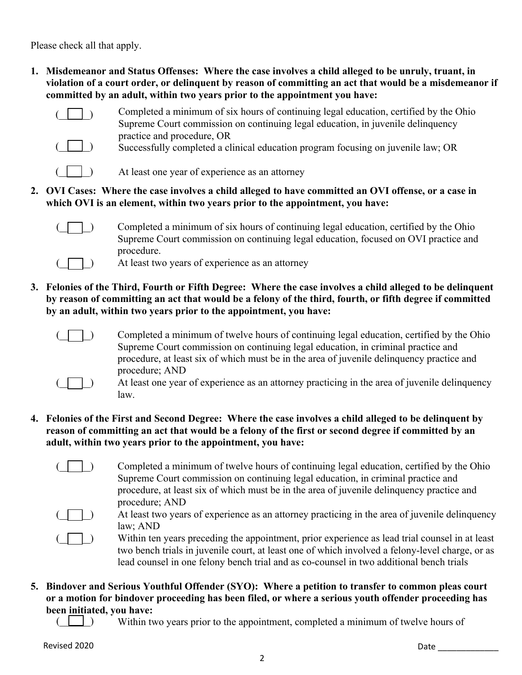Please check all that apply.

**1. Misdemeanor and Status Offenses: Where the case involves a child alleged to be unruly, truant, in violation of a court order, or delinquent by reason of committing an act that would be a misdemeanor if committed by an adult, within two years prior to the appointment you have:**



Completed a minimum of six hours of continuing legal education, certified by the Ohio Supreme Court commission on continuing legal education, in juvenile delinquency practice and procedure, OR



- Successfully completed a clinical education program focusing on juvenile law; OR
- $(\Box)$ At least one year of experience as an attorney
- **2. OVI Cases: Where the case involves a child alleged to have committed an OVI offense, or a case in which OVI is an element, within two years prior to the appointment, you have:**



 $\Box$ ) Completed a minimum of six hours of continuing legal education, certified by the Ohio Supreme Court commission on continuing legal education, focused on OVI practice and procedure.



- At least two years of experience as an attorney
- **3. Felonies of the Third, Fourth or Fifth Degree: Where the case involves a child alleged to be delinquent by reason of committing an act that would be a felony of the third, fourth, or fifth degree if committed by an adult, within two years prior to the appointment, you have:**



Completed a minimum of twelve hours of continuing legal education, certified by the Ohio Supreme Court commission on continuing legal education, in criminal practice and procedure, at least six of which must be in the area of juvenile delinquency practice and procedure; AND



- (a) At least one year of experience as an attorney practicing in the area of juvenile delinquency law.
- **4. Felonies of the First and Second Degree: Where the case involves a child alleged to be delinquent by reason of committing an act that would be a felony of the first or second degree if committed by an adult, within two years prior to the appointment, you have:**
	- (e.g.) Completed a minimum of twelve hours of continuing legal education, certified by the Ohio Supreme Court commission on continuing legal education, in criminal practice and procedure, at least six of which must be in the area of juvenile delinquency practice and procedure; AND



At least two years of experience as an attorney practicing in the area of juvenile delinquency law; AND

Within ten years preceding the appointment, prior experience as lead trial counsel in at least two bench trials in juvenile court, at least one of which involved a felony-level charge, or as lead counsel in one felony bench trial and as co-counsel in two additional bench trials

- **5. Bindover and Serious Youthful Offender (SYO): Where a petition to transfer to common pleas court or a motion for bindover proceeding has been filed, or where a serious youth offender proceeding has been initiated, you have:**
	- $($  |  $)$ Within two years prior to the appointment, completed a minimum of twelve hours of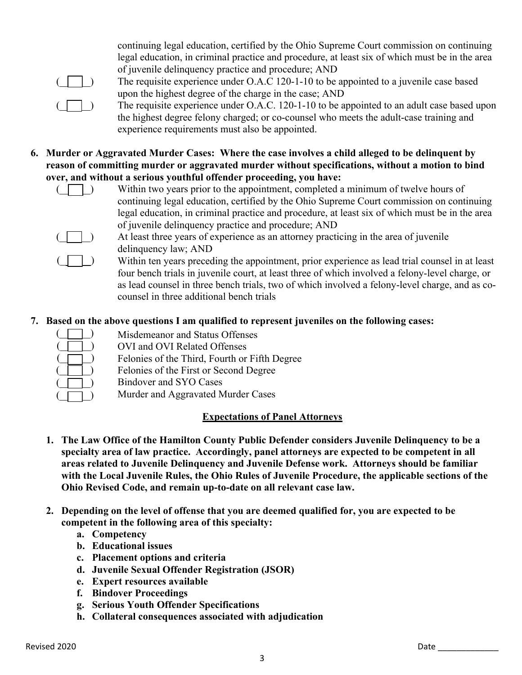continuing legal education, certified by the Ohio Supreme Court commission on continuing legal education, in criminal practice and procedure, at least six of which must be in the area of juvenile delinquency practice and procedure; AND



( $\Box$ ) The requisite experience under O.A.C 120-1-10 to be appointed to a juvenile case based upon the highest degree of the charge in the case; AND

 $(\Box)$  The requisite experience under O.A.C. 120-1-10 to be appointed to an adult case based upon the highest degree felony charged; or co-counsel who meets the adult-case training and experience requirements must also be appointed.

**6. Murder or Aggravated Murder Cases: Where the case involves a child alleged to be delinquent by reason of committing murder or aggravated murder without specifications, without a motion to bind over, and without a serious youthful offender proceeding, you have:**



(2) Within two years prior to the appointment, completed a minimum of twelve hours of continuing legal education, certified by the Ohio Supreme Court commission on continuing legal education, in criminal practice and procedure, at least six of which must be in the area of juvenile delinquency practice and procedure; AND



At least three years of experience as an attorney practicing in the area of juvenile delinquency law; AND

 $\vert \vert$ ) Within ten years preceding the appointment, prior experience as lead trial counsel in at least four bench trials in juvenile court, at least three of which involved a felony-level charge, or as lead counsel in three bench trials, two of which involved a felony-level charge, and as cocounsel in three additional bench trials

# **7. Based on the above questions I am qualified to represent juveniles on the following cases:**

| Misdemeanor and Status Offenses               |
|-----------------------------------------------|
| OVI and OVI Related Offenses                  |
| Felonies of the Third, Fourth or Fifth Degree |
| Felonies of the First or Second Degree        |
| Bindover and SYO Cases                        |
| Murder and Aggravated Murder Cases            |

## Murder and Aggravated Murder Cases

## **Expectations of Panel Attorneys**

- **1. The Law Office of the Hamilton County Public Defender considers Juvenile Delinquency to be a specialty area of law practice. Accordingly, panel attorneys are expected to be competent in all areas related to Juvenile Delinquency and Juvenile Defense work. Attorneys should be familiar with the Local Juvenile Rules, the Ohio Rules of Juvenile Procedure, the applicable sections of the Ohio Revised Code, and remain up-to-date on all relevant case law.**
- **2. Depending on the level of offense that you are deemed qualified for, you are expected to be competent in the following area of this specialty:**
	- **a. Competency**
	- **b. Educational issues**
	- **c. Placement options and criteria**
	- **d. Juvenile Sexual Offender Registration (JSOR)**
	- **e. Expert resources available**
	- **f. Bindover Proceedings**
	- **g. Serious Youth Offender Specifications**
	- **h. Collateral consequences associated with adjudication**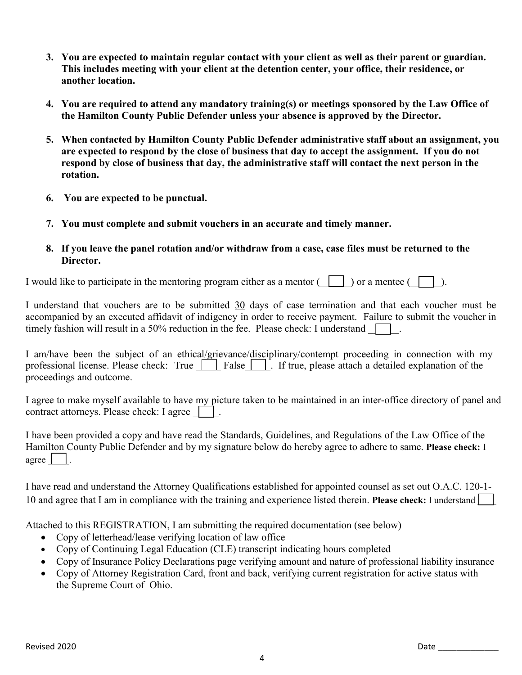- **3. You are expected to maintain regular contact with your client as well as their parent or guardian. This includes meeting with your client at the detention center, your office, their residence, or another location.**
- **4. You are required to attend any mandatory training(s) or meetings sponsored by the Law Office of the Hamilton County Public Defender unless your absence is approved by the Director.**
- **5. When contacted by Hamilton County Public Defender administrative staff about an assignment, you are expected to respond by the close of business that day to accept the assignment. If you do not respond by close of business that day, the administrative staff will contact the next person in the rotation.**
- **6. You are expected to be punctual.**
- **7. You must complete and submit vouchers in an accurate and timely manner.**
- **8. If you leave the panel rotation and/or withdraw from a case, case files must be returned to the Director.**

I would like to participate in the mentoring program either as a mentor  $(\Box)$ ) or a mentee ( $\Box$ ).

I understand that vouchers are to be submitted 30 days of case termination and that each voucher must be accompanied by an executed affidavit of indigency in order to receive payment. Failure to submit the voucher in timely fashion will result in a 50% reduction in the fee. Please check: I understand  $\Box$ .

I am/have been the subject of an ethical/grievance/disciplinary/contempt proceeding in connection with my professional license. Please check: True  $\Box$  False  $\Box$ . If true, please attach a detailed explanation of the proceedings and outcome.

I agree to make myself available to have my picture taken to be maintained in an inter-office directory of panel and contract attorneys. Please check: I agree  $\vert \vert$ .

I have been provided a copy and have read the Standards, Guidelines, and Regulations of the Law Office of the Hamilton County Public Defender and by my signature below do hereby agree to adhere to same. **Please check:** I agree  $\Box$ .

I have read and understand the Attorney Qualifications established for appointed counsel as set out O.A.C. 120-1- 10 and agree that I am in compliance with the training and experience listed therein. **Please check:** I understand

Attached to this REGISTRATION, I am submitting the required documentation (see below)

- Copy of letterhead/lease verifying location of law office
- Copy of Continuing Legal Education (CLE) transcript indicating hours completed
- Copy of Insurance Policy Declarations page verifying amount and nature of professional liability insurance
- Copy of Attorney Registration Card, front and back, verifying current registration for active status with the Supreme Court of Ohio.